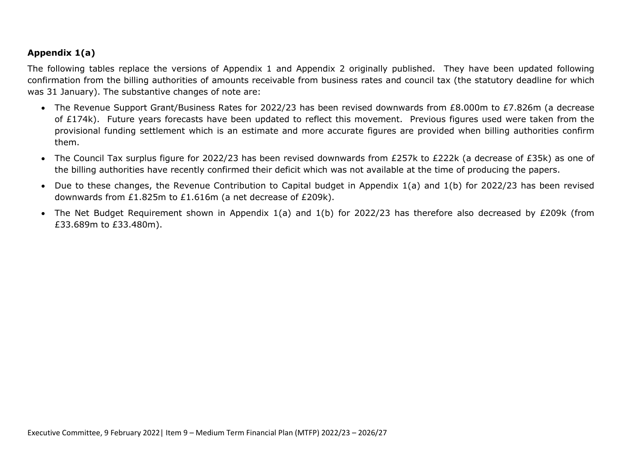## **Appendix 1(a)**

The following tables replace the versions of Appendix 1 and Appendix 2 originally published. They have been updated following confirmation from the billing authorities of amounts receivable from business rates and council tax (the statutory deadline for which was 31 January). The substantive changes of note are:

- The Revenue Support Grant/Business Rates for 2022/23 has been revised downwards from £8.000m to £7.826m (a decrease of £174k). Future years forecasts have been updated to reflect this movement. Previous figures used were taken from the provisional funding settlement which is an estimate and more accurate figures are provided when billing authorities confirm them.
- The Council Tax surplus figure for 2022/23 has been revised downwards from £257k to £222k (a decrease of £35k) as one of the billing authorities have recently confirmed their deficit which was not available at the time of producing the papers.
- Due to these changes, the Revenue Contribution to Capital budget in Appendix 1(a) and 1(b) for 2022/23 has been revised downwards from £1.825m to £1.616m (a net decrease of £209k).
- The Net Budget Requirement shown in Appendix 1(a) and 1(b) for 2022/23 has therefore also decreased by £209k (from £33.689m to £33.480m).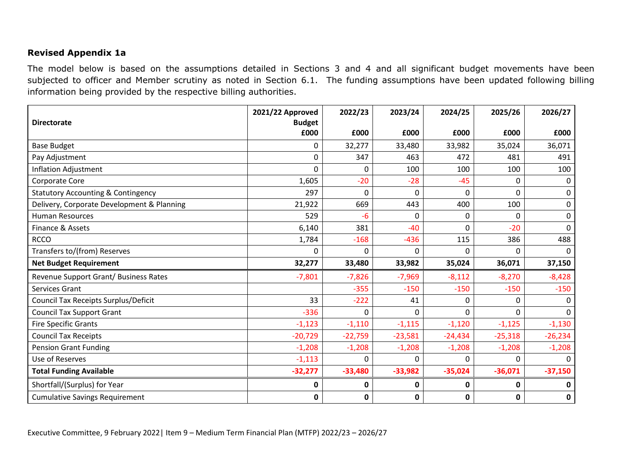## **Revised Appendix 1a**

The model below is based on the assumptions detailed in Sections 3 and 4 and all significant budget movements have been subjected to officer and Member scrutiny as noted in Section 6.1. The funding assumptions have been updated following billing information being provided by the respective billing authorities.

| <b>Directorate</b>                            | 2021/22 Approved<br><b>Budget</b><br>£000 | 2022/23<br>£000 | 2023/24<br>£000 | 2024/25<br>£000 | 2025/26<br>£000 | 2026/27<br>£000 |
|-----------------------------------------------|-------------------------------------------|-----------------|-----------------|-----------------|-----------------|-----------------|
|                                               |                                           |                 |                 |                 |                 |                 |
| <b>Base Budget</b>                            | 0                                         | 32,277          | 33,480          | 33,982          | 35,024          | 36,071          |
| Pay Adjustment                                | 0                                         | 347             | 463             | 472             | 481             | 491             |
| <b>Inflation Adjustment</b>                   | 0                                         | 0               | 100             | 100             | 100             | 100             |
| Corporate Core                                | 1,605                                     | $-20$           | $-28$           | $-45$           | $\mathbf{0}$    |                 |
| <b>Statutory Accounting &amp; Contingency</b> | 297                                       | 0               | 0               | 0               | $\Omega$        | $\mathbf{0}$    |
| Delivery, Corporate Development & Planning    | 21,922                                    | 669             | 443             | 400             | 100             | $\mathbf{0}$    |
| <b>Human Resources</b>                        | 529                                       | $-6$            | 0               | 0               | $\Omega$        | 0               |
| Finance & Assets                              | 6,140                                     | 381             | $-40$           | 0               | $-20$           | $\Omega$        |
| <b>RCCO</b>                                   | 1,784                                     | $-168$          | $-436$          | 115             | 386             | 488             |
| Transfers to/(from) Reserves                  | 0                                         | 0               | 0               | ŋ               | $\Omega$        | ∩               |
| <b>Net Budget Requirement</b>                 | 32,277                                    | 33,480          | 33,982          | 35,024          | 36,071          | 37,150          |
| Revenue Support Grant/ Business Rates         | $-7,801$                                  | $-7,826$        | $-7,969$        | $-8,112$        | $-8,270$        | $-8,428$        |
| Services Grant                                |                                           | $-355$          | $-150$          | $-150$          | $-150$          | $-150$          |
| Council Tax Receipts Surplus/Deficit          | 33                                        | $-222$          | 41              | 0               | $\Omega$        |                 |
| <b>Council Tax Support Grant</b>              | $-336$                                    | 0               | 0               | 0               | $\Omega$        | $\Omega$        |
| <b>Fire Specific Grants</b>                   | $-1,123$                                  | $-1,110$        | $-1,115$        | $-1,120$        | $-1,125$        | $-1,130$        |
| <b>Council Tax Receipts</b>                   | $-20,729$                                 | $-22,759$       | $-23,581$       | $-24,434$       | $-25,318$       | $-26,234$       |
| <b>Pension Grant Funding</b>                  | $-1,208$                                  | $-1,208$        | $-1,208$        | $-1,208$        | $-1,208$        | $-1,208$        |
| Use of Reserves                               | $-1,113$                                  | 0               | 0               | ŋ               | $\Omega$        | <sup>n</sup>    |
| <b>Total Funding Available</b>                | $-32,277$                                 | $-33,480$       | $-33,982$       | $-35,024$       | $-36,071$       | $-37,150$       |
| Shortfall/(Surplus) for Year                  | 0                                         | 0               | 0               | 0               | $\mathbf 0$     |                 |
| <b>Cumulative Savings Requirement</b>         | $\bf{0}$                                  | 0               | 0               | 0               | $\mathbf 0$     | 0               |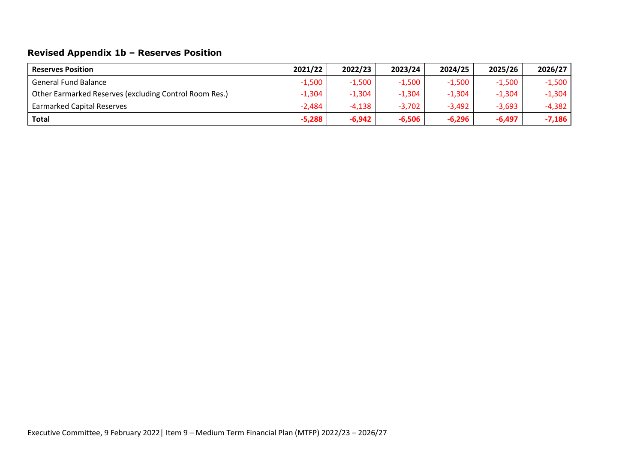## **Revised Appendix 1b – Reserves Position**

| <b>Reserves Position</b>                               | 2021/22  | 2022/23  | 2023/24  | 2024/25  | 2025/26  | 2026/27  |
|--------------------------------------------------------|----------|----------|----------|----------|----------|----------|
| <b>General Fund Balance</b>                            | $-1,500$ | $-1,500$ | $-1,500$ | $-1,500$ | $-1,500$ | $-1,500$ |
| Other Earmarked Reserves (excluding Control Room Res.) | $-1,304$ | $-1,304$ | $-1,304$ | $-1,304$ | $-1,304$ | $-1,304$ |
| <b>Earmarked Capital Reserves</b>                      | $-2,484$ | $-4,138$ | $-3,702$ | $-3,492$ | $-3,693$ | $-4,382$ |
| <b>Total</b>                                           | $-5,288$ | $-6,942$ | $-6,506$ | $-6,296$ | $-6,497$ | $-7,186$ |